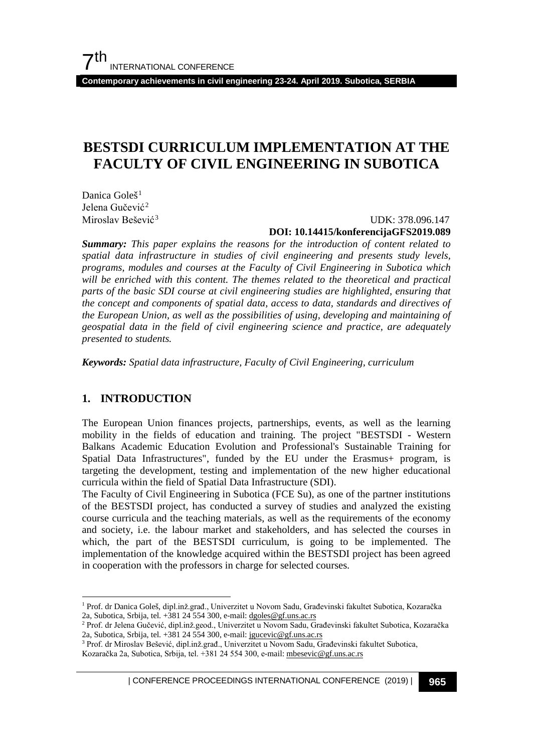**Contemporary achievements in civil engineering 23-24. April 2019. Subotica, SERBIA**

# **BESTSDI CURRICULUM IMPLEMENTATION AT THE FACULTY OF CIVIL ENGINEERING IN SUBOTICA**

Danica Goleš<sup>[1](#page-0-0)</sup> Jelena Gučević<sup>[2](#page-0-1)</sup> Miroslav Bešević<sup>[3](#page-0-2)</sup>

#### UDK: 378.096.147 **DOI: 10.14415/konferencijaGFS2019.089**

*Summary: This paper explains the reasons for the introduction of content related to spatial data infrastructure in studies of civil engineering and presents study levels, programs, modules and courses at the Faculty of Civil Engineering in Subotica which*  will be enriched with this content. The themes related to the theoretical and practical *parts of the basic SDI course at civil engineering studies are highlighted, ensuring that the concept and components of spatial data, access to data, standards and directives of the European Union, as well as the possibilities of using, developing and maintaining of geospatial data in the field of civil engineering science and practice, are adequately presented to students.* 

*Keywords: Spatial data infrastructure, Faculty of Civil Engineering, curriculum* 

## **1. INTRODUCTION**

The European Union finances projects, partnerships, events, as well as the learning mobility in the fields of education and training. The project "BESTSDI - Western Balkans Academic Education Evolution and Professional's Sustainable Training for Spatial Data Infrastructures", funded by the EU under the Erasmus+ program, is targeting the development, testing and implementation of the new higher educational curricula within the field of Spatial Data Infrastructure (SDI).

The Faculty of Civil Engineering in Subotica (FCE Su), as one of the partner institutions of the BESTSDI project, has conducted a survey of studies and analyzed the existing course curricula and the teaching materials, as well as the requirements of the economy and society, i.e. the labour market and stakeholders, and has selected the courses in which, the part of the BESTSDI curriculum, is going to be implemented. The implementation of the knowledge acquired within the BESTSDI project has been agreed in cooperation with the professors in charge for selected courses.

<span id="page-0-0"></span> <sup>1</sup> Prof. dr Danica Goleš, dipl.inž.građ., Univerzitet u Novom Sadu, Građevinski fakultet Subotica, Kozaračka 2a, Subotica, Srbija, tel. +381 24 554 300, e-mail[: dgoles@gf.uns.ac.rs](mailto:dgoles@gf.uns.ac.rs)

<span id="page-0-1"></span><sup>2</sup> Prof. dr Jelena Gučević, dipl.inž.geod., Univerzitet u Novom Sadu, Građevinski fakultet Subotica, Kozaračka 2a, Subotica, Srbija, tel. +381 24 554 300, e-mail: jgucevic@gf.uns.ac.rs

<span id="page-0-2"></span><sup>3</sup> Prof. dr Miroslav Bešević, dipl.inž.građ., Univerzitet u Novom Sadu, Građevinski fakultet Subotica,

Kozaračka 2a, Subotica, Srbija, tel. +381 24 554 300, e-mail: mbesevic@gf.uns.ac.rs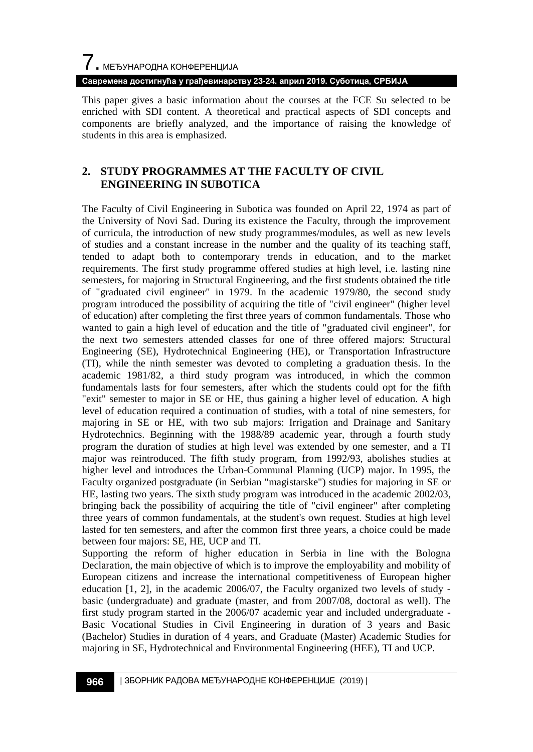**Савремена достигнућа у грађевинарству 23-24. април 2019. Суботица, СРБИЈА**

This paper gives a basic information about the courses at the FCE Su selected to be enriched with SDI content. A theoretical and practical aspects of SDI concepts and components are briefly analyzed, and the importance of raising the knowledge of students in this area is emphasized.

## **2. STUDY PROGRAMMES AT THE FACULTY OF CIVIL ENGINEERING IN SUBOTICA**

The Faculty of Civil Engineering in Subotica was founded on April 22, 1974 as part of the University of Novi Sad. During its existence the Faculty, through the improvement of curricula, the introduction of new study programmes/modules, as well as new levels of studies and a constant increase in the number and the quality of its teaching staff, tended to adapt both to contemporary trends in education, and to the market requirements. The first study programme offered studies at high level, i.e. lasting nine semesters, for majoring in Structural Engineering, and the first students obtained the title of "graduated civil engineer" in 1979. In the academic 1979/80, the second study program introduced the possibility of acquiring the title of "civil engineer" (higher level of education) after completing the first three years of common fundamentals. Those who wanted to gain a high level of education and the title of "graduated civil engineer", for the next two semesters attended classes for one of three offered majors: Structural Engineering (SE), Hydrotechnical Engineering (HE), or Transportation Infrastructure (TI), while the ninth semester was devoted to completing a graduation thesis. In the academic 1981/82, a third study program was introduced, in which the common fundamentals lasts for four semesters, after which the students could opt for the fifth "exit" semester to major in SE or HE, thus gaining a higher level of education. A high level of education required a continuation of studies, with a total of nine semesters, for majoring in SE or HE, with two sub majors: Irrigation and Drainage and Sanitary Hydrotechnics. Beginning with the 1988/89 academic year, through a fourth study program the duration of studies at high level was extended by one semester, and a TI major was reintroduced. The fifth study program, from 1992/93, abolishes studies at higher level and introduces the Urban-Communal Planning (UCP) major. In 1995, the Faculty organized postgraduate (in Serbian "magistarske") studies for majoring in SE or HE, lasting two years. The sixth study program was introduced in the academic 2002/03, bringing back the possibility of acquiring the title of "civil engineer" after completing three years of common fundamentals, at the student's own request. Studies at high level lasted for ten semesters, and after the common first three years, a choice could be made between four majors: SE, HE, UCP and TI.

Supporting the reform of higher education in Serbia in line with the Bologna Declaration, the main objective of which is to improve the employability and mobility of European citizens and increase the international competitiveness of European higher education [1, 2], in the academic 2006/07, the Faculty organized two levels of study basic (undergraduate) and graduate (master, and from 2007/08, doctoral as well). The first study program started in the 2006/07 academic year and included undergraduate - Basic Vocational Studies in Civil Engineering in duration of 3 years and Basic (Bachelor) Studies in duration of 4 years, and Graduate (Master) Academic Studies for majoring in SE, Hydrotechnical and Environmental Engineering (HEE), TI and UCP.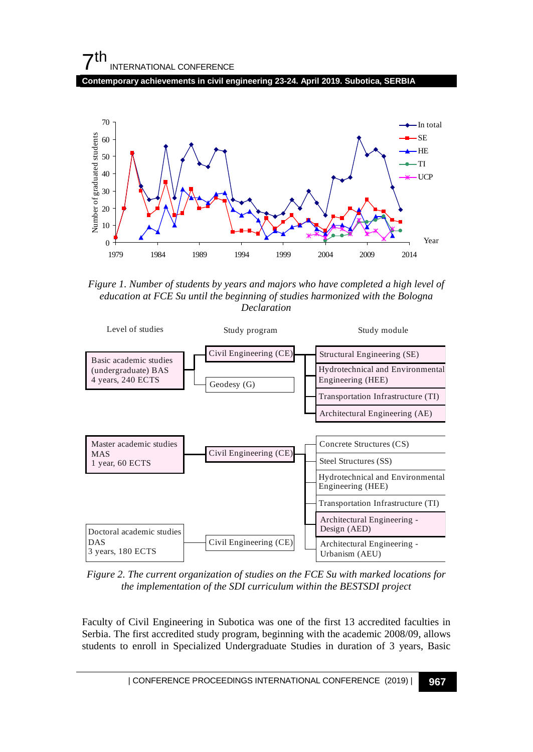# $7<sup>th</sup>$ INTERNATIONAL CONFERENCE

**Contemporary achievements in civil engineering 23-24. April 2019. Subotica, SERBIA**



*Figure 1. Number of students by years and majors who have completed a high level of education at FCE Su until the beginning of studies harmonized with the Bologna Declaration* 



*Figure 2. The current organization of studies on the FCE Su with marked locations for the implementation of the SDI curriculum within the BESTSDI project*

Faculty of Civil Engineering in Subotica was one of the first 13 accredited faculties in Serbia. The first accredited study program, beginning with the academic 2008/09, allows students to enroll in Specialized Undergraduate Studies in duration of 3 years, Basic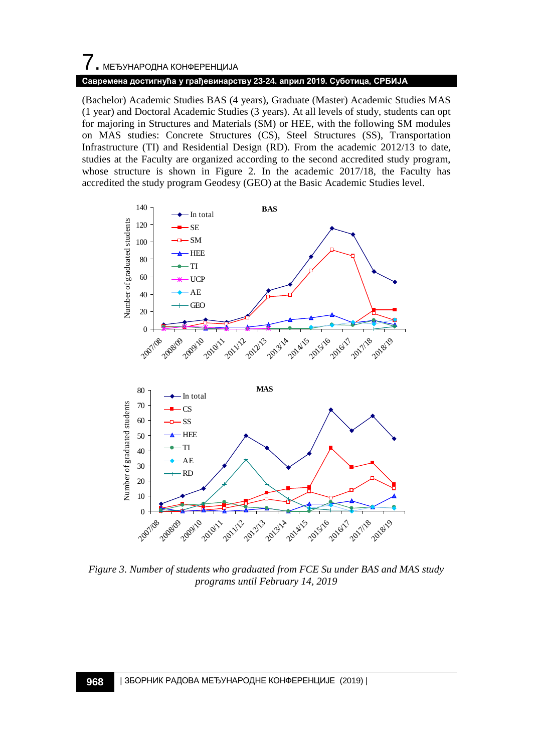# $\overline{\phantom{a}}$ . МЕЂУНАРОДНА КОНФЕРЕНЦИЈА **Савремена достигнућа у грађевинарству 23-24. април 2019. Суботица, СРБИЈА**

(Bachelor) Academic Studies BAS (4 years), Graduate (Master) Academic Studies MAS (1 year) and Doctoral Academic Studies (3 years). At all levels of study, students can opt for majoring in Structures and Materials (SM) or HEE, with the following SM modules on MAS studies: Concrete Structures (CS), Steel Structures (SS), Transportation Infrastructure (TI) and Residential Design (RD). From the academic 2012/13 to date, studies at the Faculty are organized according to the second accredited study program, whose structure is shown in Figure 2. In the academic 2017/18, the Faculty has accredited the study program Geodesy (GEO) at the Basic Academic Studies level.



*Figure 3. Number of students who graduated from FCE Su under BAS and MAS study programs until February 14, 2019*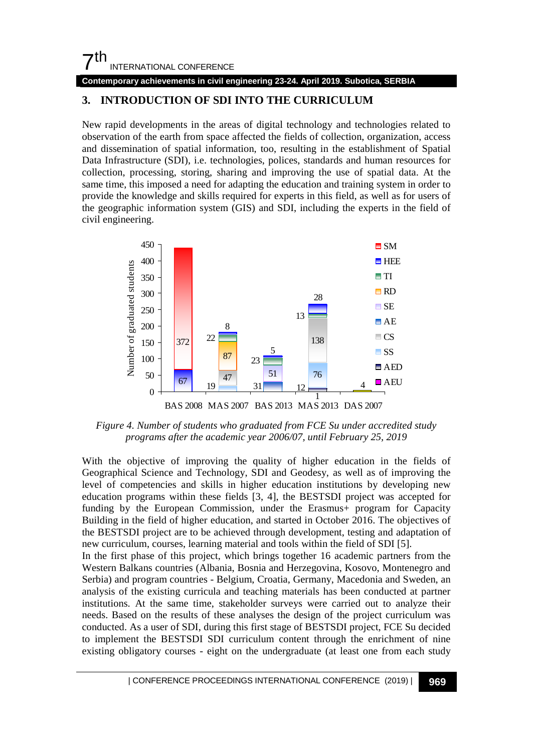# $7<sup>th</sup>$ INTERNATIONAL CONFERENCE

**Contemporary achievements in civil engineering 23-24. April 2019. Subotica, SERBIA**

# **3. INTRODUCTION OF SDI INTO THE CURRICULUM**

New rapid developments in the areas of digital technology and technologies related to observation of the earth from space affected the fields of collection, organization, access and dissemination of spatial information, too, resulting in the establishment of Spatial Data Infrastructure (SDI), i.e. technologies, polices, standards and human resources for collection, processing, storing, sharing and improving the use of spatial data. At the same time, this imposed a need for adapting the education and training system in order to provide the knowledge and skills required for experts in this field, as well as for users of the geographic information system (GIS) and SDI, including the experts in the field of civil engineering.



*Figure 4. Number of students who graduated from FCE Su under accredited study programs after the academic year 2006/07, until February 25, 2019* 

With the objective of improving the quality of higher education in the fields of Geographical Science and Technology, SDI and Geodesy, as well as of improving the level of competencies and skills in higher education institutions by developing new education programs within these fields [3, 4], the BESTSDI project was accepted for funding by the European Commission, under the Erasmus+ program for Capacity Building in the field of higher education, and started in October 2016. The objectives of the BESTSDI project are to be achieved through development, testing and adaptation of new curriculum, courses, learning material and tools within the field of SDI [5].

In the first phase of this project, which brings together 16 academic partners from the Western Balkans countries (Albania, Bosnia and Herzegovina, Kosovo, Montenegro and Serbia) and program countries - Belgium, Croatia, Germany, Macedonia and Sweden, an analysis of the existing curricula and teaching materials has been conducted at partner institutions. At the same time, stakeholder surveys were carried out to analyze their needs. Based on the results of these analyses the design of the project curriculum was conducted. As a user of SDI, during this first stage of BESTSDI project, FCE Su decided to implement the BESTSDI SDI curriculum content through the enrichment of nine existing obligatory courses - eight on the undergraduate (at least one from each study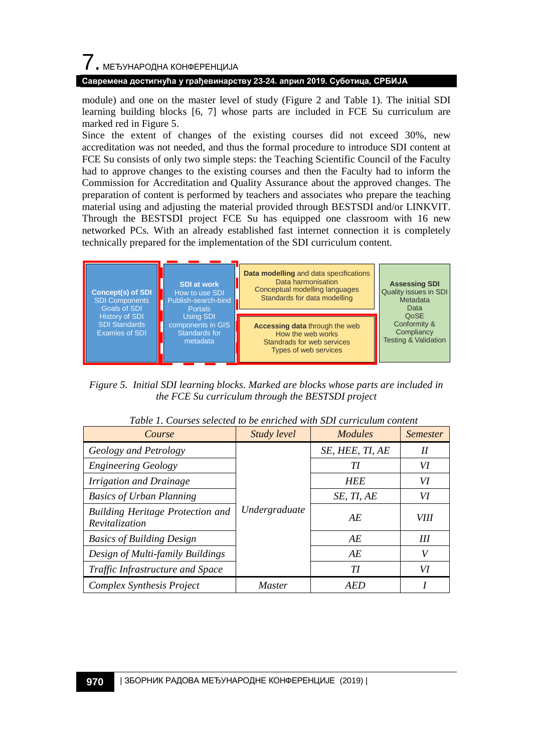#### **Савремена достигнућа у грађевинарству 23-24. април 2019. Суботица, СРБИЈА**

module) and one on the master level of study (Figure 2 and Table 1). The initial SDI learning building blocks [6, 7] whose parts are included in FCE Su curriculum are marked red in Figure 5.

Since the extent of changes of the existing courses did not exceed 30%, new accreditation was not needed, and thus the formal procedure to introduce SDI content at FCE Su consists of only two simple steps: the Teaching Scientific Council of the Faculty had to approve changes to the existing courses and then the Faculty had to inform the Commission for Accreditation and Quality Assurance about the approved changes. The preparation of content is performed by teachers and associates who prepare the teaching material using and adjusting the material provided through BESTSDI and/or LINKVIT. Through the BESTSDI project FCE Su has equipped one classroom with 16 new networked PCs. With an already established fast internet connection it is completely technically prepared for the implementation of the SDI curriculum content.



*Figure 5. Initial SDI learning blocks. Marked are blocks whose parts are included in the FCE Su curriculum through the BESTSDI project*

| Course                                                    | Study level   | <i>Modules</i>  | <b>Semester</b> |
|-----------------------------------------------------------|---------------|-----------------|-----------------|
| Geology and Petrology                                     | Undergraduate | SE, HEE, TI, AE | Н               |
| <b>Engineering Geology</b>                                |               | TІ              | VI              |
| Irrigation and Drainage                                   |               | <b>HEE</b>      | VI              |
| <b>Basics of Urban Planning</b>                           |               | SE, TI, AE      | VI              |
| <b>Building Heritage Protection and</b><br>Revitalization |               | AE              | <i>VIII</i>     |
| <b>Basics of Building Design</b>                          |               | AE              | Ш               |
| Design of Multi-family Buildings                          |               | AE              |                 |
| Traffic Infrastructure and Space                          |               | ТI              | VI              |
| Complex Synthesis Project                                 | <b>Master</b> | AED             |                 |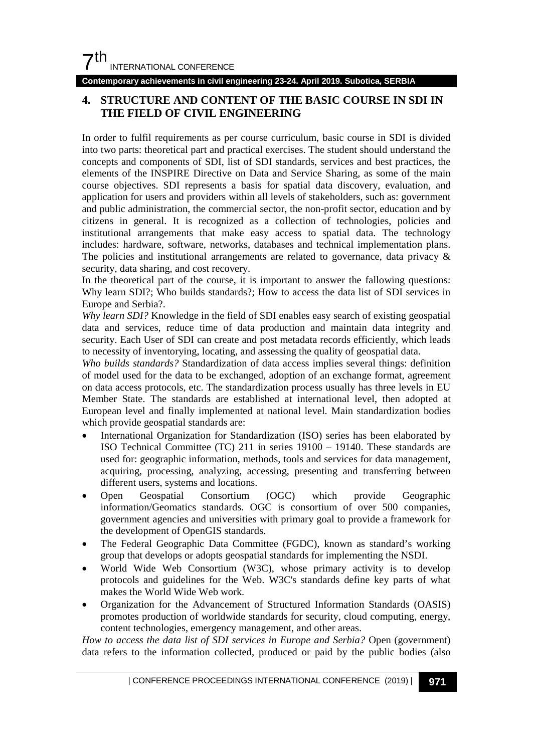**Contemporary achievements in civil engineering 23-24. April 2019. Subotica, SERBIA**

## **4. STRUCTURE AND CONTENT OF THE BASIC COURSE IN SDI IN THE FIELD OF CIVIL ENGINEERING**

In order to fulfil requirements as per course curriculum, basic course in SDI is divided into two parts: theoretical part and practical exercises. The student should understand the concepts and components of SDI, list of SDI standards, services and best practices, the elements of the INSPIRE Directive on Data and Service Sharing, as some of the main course objectives. SDI represents a basis for spatial data discovery, evaluation, and application for users and providers within all levels of stakeholders, such as: government and public administration, the commercial sector, the non-profit sector, education and by citizens in general. It is recognized as a collection of technologies, policies and institutional arrangements that make easy access to spatial data. The technology includes: hardware, software, networks, databases and technical implementation plans. The policies and institutional arrangements are related to governance, data privacy & security, data sharing, and cost recovery.

In the theoretical part of the course, it is important to answer the fallowing questions: Why learn SDI?; Who builds standards?; How to access the data list of SDI services in Europe and Serbia?.

*Why learn SDI?* Knowledge in the field of SDI enables easy search of existing geospatial data and services, reduce time of data production and maintain data integrity and security. Each User of SDI can create and post metadata records efficiently, which leads to necessity of inventorying, locating, and assessing the quality of geospatial data.

*Who builds standards?* Standardization of data access implies several things: definition of model used for the data to be exchanged, adoption of an exchange format, agreement on data access protocols, etc. The standardization process usually has three levels in EU Member State. The standards are established at international level, then adopted at European level and finally implemented at national level. Main standardization bodies which provide geospatial standards are:

- International Organization for Standardization (ISO) series has been elaborated by ISO Technical Committee (TC) 211 in series 19100 – 19140. These standards are used for: geographic information, methods, tools and services for data management, acquiring, processing, analyzing, accessing, presenting and transferring between different users, systems and locations.
- Open Geospatial Consortium (OGC) which provide Geographic information/Geomatics standards. OGC is consortium of over 500 companies, government agencies and universities with primary goal to provide a framework for the development of OpenGIS standards.
- The Federal Geographic Data Committee (FGDC), known as standard's working group that develops or adopts geospatial standards for implementing the NSDI.
- World Wide Web Consortium (W3C), whose primary activity is to develop protocols and guidelines for the Web. W3C's standards define key parts of what makes the World Wide Web work.
- Organization for the Advancement of Structured Information Standards (OASIS) promotes production of worldwide standards for security, cloud computing, energy, content technologies, emergency management, and other areas.

*How to access the data list of SDI services in Europe and Serbia?* Open (government) data refers to the information collected, produced or paid by the public bodies (also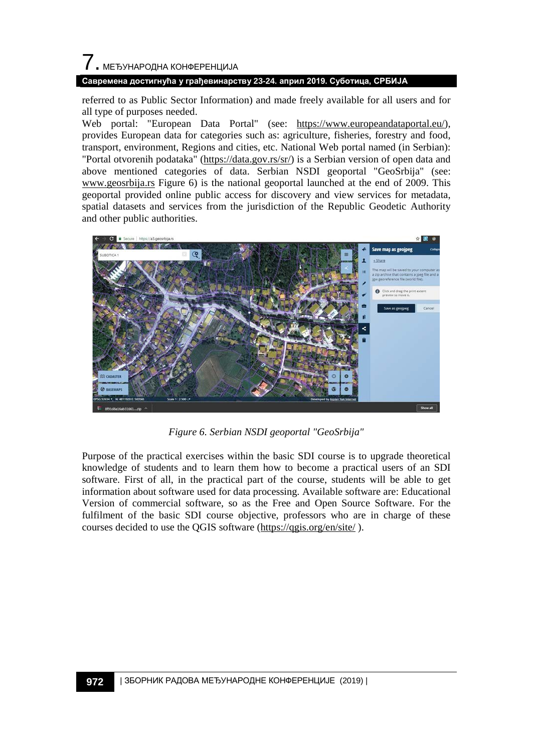# 7. МЕЂУНАРОДНА КОНФЕРЕНЦИЈА **Савремена достигнућа у грађевинарству 23-24. април 2019. Суботица, СРБИЈА**

referred to as Public Sector Information) and made freely available for all users and for all type of purposes needed.

Web portal: "European Data Portal" (see: [https://www.europeandataportal.eu/\)](https://www.europeandataportal.eu/), provides European data for categories such as: agriculture, fisheries, forestry and food, transport, environment, Regions and cities, etc. National Web portal named (in Serbian): "Portal otvorenih podataka" [\(https://data.gov.rs/sr/\)](https://data.gov.rs/sr/) is a Serbian version of open data and above mentioned categories of data. Serbian NSDI geoportal "GeoSrbija" (see: [www.geosrbija.rs](http://www.geosrbija.rs/) Figure 6) is the national geoportal launched at the end of 2009. This geoportal provided online public access for discovery and view services for metadata, spatial datasets and services from the jurisdiction of the Republic Geodetic Authority and other public authorities.



*Figure 6. Serbian NSDI geoportal "GeoSrbija"*

Purpose of the practical exercises within the basic SDI course is to upgrade theoretical knowledge of students and to learn them how to become a practical users of an SDI software. First of all, in the practical part of the course, students will be able to get information about software used for data processing. Available software are: Educational Version of commercial software, so as the Free and Open Source Software. For the fulfilment of the basic SDI course objective, professors who are in charge of these courses decided to use the QGIS software [\(https://qgis.org/en/site/](https://qgis.org/en/site/) ).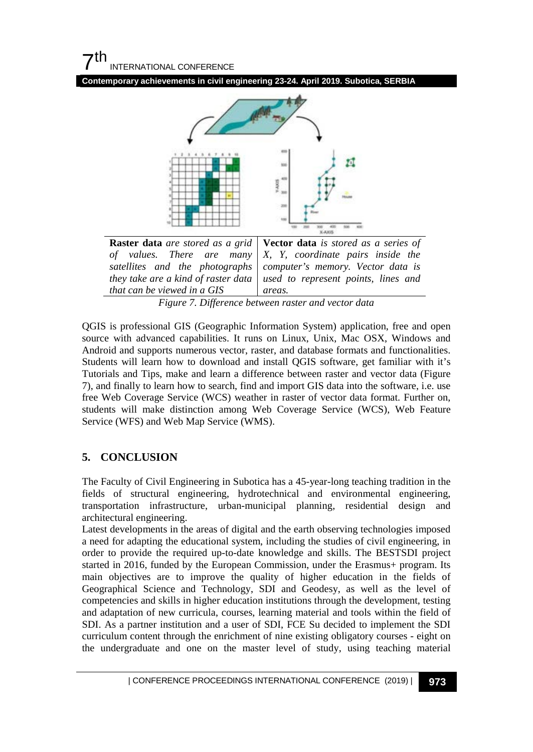



*Figure 7. Difference between raster and vector data*

QGIS is professional GIS (Geographic Information System) application, free and open source with advanced capabilities. It runs on Linux, Unix, Mac OSX, Windows and Android and supports numerous vector, raster, and database formats and functionalities. Students will learn how to download and install QGIS software, get familiar with it's Tutorials and Tips, make and learn a difference between raster and vector data (Figure 7), and finally to learn how to search, find and import GIS data into the software, i.e. use free Web Coverage Service (WCS) weather in raster of vector data format. Further on, students will make distinction among Web Coverage Service (WCS), Web Feature Service (WFS) and Web Map Service (WMS).

## **5. CONCLUSION**

The Faculty of Civil Engineering in Subotica has a 45-year-long teaching tradition in the fields of structural engineering, hydrotechnical and environmental engineering, transportation infrastructure, urban-municipal planning, residential design and architectural engineering.

Latest developments in the areas of digital and the earth observing technologies imposed a need for adapting the educational system, including the studies of civil engineering, in order to provide the required up-to-date knowledge and skills. The BESTSDI project started in 2016, funded by the European Commission, under the Erasmus+ program. Its main objectives are to improve the quality of higher education in the fields of Geographical Science and Technology, SDI and Geodesy, as well as the level of competencies and skills in higher education institutions through the development, testing and adaptation of new curricula, courses, learning material and tools within the field of SDI. As a partner institution and a user of SDI, FCE Su decided to implement the SDI curriculum content through the enrichment of nine existing obligatory courses - eight on the undergraduate and one on the master level of study, using teaching material